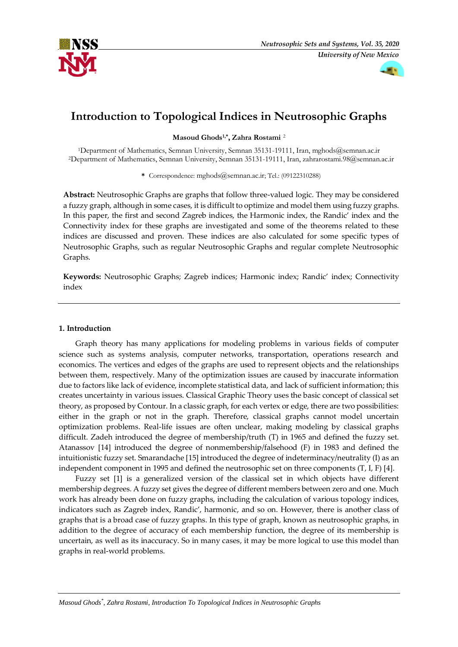



# **Introduction to Topological Indices in Neutrosophic Graphs**

**Masoud Ghods1,\*, Zahra Rostami** <sup>2</sup>

<sup>1</sup>Department of Mathematics, Semnan University, Semnan 35131-19111, Iran, mghods@semnan.ac.ir <sup>2</sup>Department of Mathematics, Semnan University, Semnan 35131-19111, Iran, zahrarostami.98@semnan.ac.ir

**\*** Correspondence: mghods@semnan.ac.ir; Tel.: (09122310288)

**Abstract:** Neutrosophic Graphs are graphs that follow three-valued logic. They may be considered a fuzzy graph, although in some cases, it is difficult to optimize and model them using fuzzy graphs. In this paper, the first and second Zagreb indices, the Harmonic index, the Randic' index and the Connectivity index for these graphs are investigated and some of the theorems related to these indices are discussed and proven. These indices are also calculated for some specific types of Neutrosophic Graphs, such as regular Neutrosophic Graphs and regular complete Neutrosophic Graphs.

**Keywords:** Neutrosophic Graphs; Zagreb indices; Harmonic index; Randic' index; Connectivity index

# **1. Introduction**

Graph theory has many applications for modeling problems in various fields of computer science such as systems analysis, computer networks, transportation, operations research and economics. The vertices and edges of the graphs are used to represent objects and the relationships between them, respectively. Many of the optimization issues are caused by inaccurate information due to factors like lack of evidence, incomplete statistical data, and lack of sufficient information; this creates uncertainty in various issues. Classical Graphic Theory uses the basic concept of classical set theory, as proposed by Contour. In a classic graph, for each vertex or edge, there are two possibilities: either in the graph or not in the graph. Therefore, classical graphs cannot model uncertain optimization problems. Real-life issues are often unclear, making modeling by classical graphs difficult. Zadeh introduced the degree of membership/truth (T) in 1965 and defined the fuzzy set. Atanassov [14] introduced the degree of nonmembership/falsehood (F) in 1983 and defined the intuitionistic fuzzy set. Smarandache [15] introduced the degree of indeterminacy/neutrality (I) as an independent component in 1995 and defined the neutrosophic set on three components (T, I, F) [4].

Fuzzy set [1] is a generalized version of the classical set in which objects have different membership degrees. A fuzzy set gives the degree of different members between zero and one. Much work has already been done on fuzzy graphs, including the calculation of various topology indices, indicators such as Zagreb index, Randic', harmonic, and so on. However, there is another class of graphs that is a broad case of fuzzy graphs. In this type of graph, known as neutrosophic graphs, in addition to the degree of accuracy of each membership function, the degree of its membership is uncertain, as well as its inaccuracy. So in many cases, it may be more logical to use this model than graphs in real-world problems.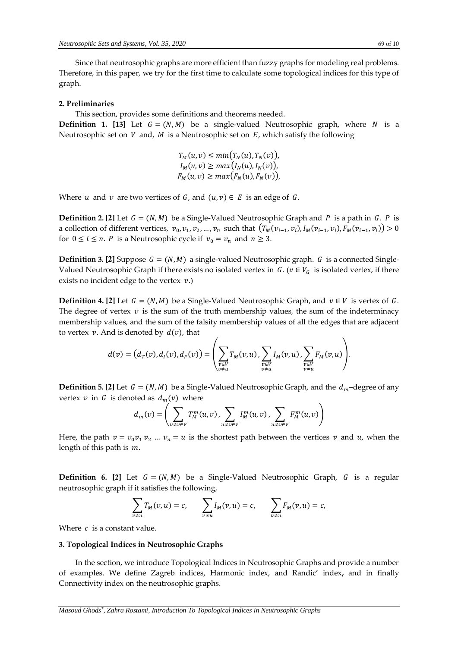Since that neutrosophic graphs are more efficient than fuzzy graphs for modeling real problems. Therefore, in this paper, we try for the first time to calculate some topological indices for this type of graph.

## **2. Preliminaries**

This section, provides some definitions and theorems needed. **Definition 1.** [13] Let  $G = (N, M)$  be a single-valued Neutrosophic graph, where N is a Neutrosophic set on  $V$  and,  $M$  is a Neutrosophic set on  $E$ , which satisfy the following

> $T_M(u, v) \leq min\bigl(T_N(u), T_N(v)\bigr),$  $I_M(u, v) \ge max(I_N(u), I_N(v)),$  $F_M(u, v) \ge max(F_N(u), F_N(v)),$

Where *u* and *v* are two vertices of *G*, and  $(u, v) \in E$  is an edge of *G*.

**Definition 2. [2]** Let  $G = (N, M)$  be a Single-Valued Neutrosophic Graph and P is a path in G. P is a collection of different vertices,  $v_0, v_1, v_2, ..., v_n$  such that  $(T_M(v_{i-1}, v_i), I_M(v_{i-1}, v_i), F_M(v_{i-1}, v_i)) > 0$ for  $0 \le i \le n$ . *P* is a Neutrosophic cycle if  $v_0 = v_n$  and  $n \ge 3$ .

**Definition 3. [2] Suppose**  $G = (N, M)$  **a single-valued Neutrosophic graph. G is a connected Single-**Valued Neutrosophic Graph if there exists no isolated vertex in  $G$ . ( $v \in V_G$  is isolated vertex, if there exists no incident edge to the vertex  $v$ .)

**Definition 4. [2]** Let  $G = (N, M)$  be a Single-Valued Neutrosophic Graph, and  $v \in V$  is vertex of G. The degree of vertex  $v$  is the sum of the truth membership values, the sum of the indeterminacy membership values, and the sum of the falsity membership values of all the edges that are adjacent to vertex  $v$ . And is denoted by  $d(v)$ , that

$$
d(v) = (d_T(v), d_I(v), d_F(v)) = \left(\sum_{\substack{v \in V \\ v \neq u}} T_M(v, u), \sum_{\substack{v \in V \\ v \neq u}} I_M(v, u), \sum_{\substack{v \in V \\ v \neq u}} F_M(v, u)\right).
$$

**Definition 5. [2]** Let  $G = (N, M)$  be a Single-Valued Neutrosophic Graph, and the  $d_m$ -degree of any vertex  $v$  in  $G$  is denoted as  $d_m(v)$  where

$$
d_m(v) = \left(\sum_{u \neq v \in V} T_M^m(u, v), \sum_{u \neq v \in V} I_M^m(u, v), \sum_{u \neq v \in V} F_M^m(u, v)\right)
$$

Here, the path  $v = v_0 v_1 v_2 ... v_n = u$  is the shortest path between the vertices v and u, when the length of this path is  $m$ .

**Definition 6. [2]** Let  $G = (N, M)$  be a Single-Valued Neutrosophic Graph, G is a regular neutrosophic graph if it satisfies the following,

$$
\sum_{v \neq u} T_M(v, u) = c, \qquad \sum_{v \neq u} I_M(v, u) = c, \qquad \sum_{v \neq u} F_M(v, u) = c,
$$

Where  $c$  is a constant value.

#### **3. Topological Indices in Neutrosophic Graphs**

In the section, we introduce Topological Indices in Neutrosophic Graphs and provide a number of examples. We define Zagreb indices, Harmonic index, and Randic' index**,** and in finally Connectivity index on the neutrosophic graphs.

*Masoud Ghods\* , Zahra Rostami, Introduction To Topological Indices in Neutrosophic Graphs*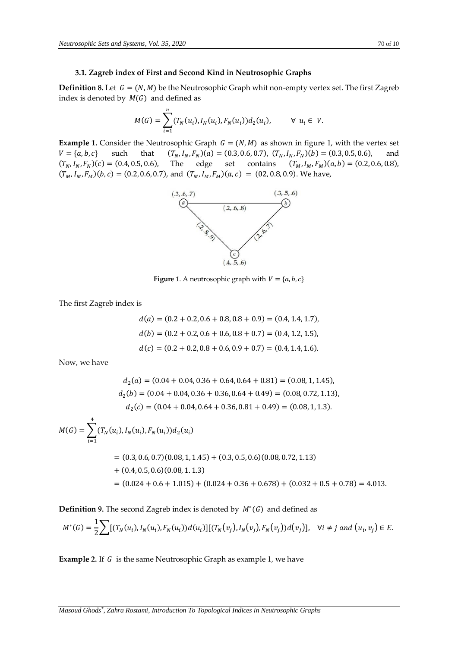# **3.1. Zagreb index of First and Second Kind in Neutrosophic Graphs**

**Definition 8.** Let  $G = (N, M)$  be the Neutrosophic Graph whit non-empty vertex set. The first Zagreb index is denoted by  $M(G)$  and defined as

$$
M(G) = \sum_{i=1}^{n} (T_N(u_i), I_N(u_i), F_N(u_i)) d_2(u_i), \qquad \forall \ u_i \in V.
$$

**Example 1.** Consider the Neutrosophic Graph  $G = (N, M)$  as shown in figure 1, with the vertex set  $V = \{a, b, c\}$  such that  $(0)(a) = (0.3, 0.6, 0.7), (T_N, I_N, F_N)(b) = (0.3, 0.5, 0.6),$  and  $(T_N, I_N, F_N)(c) = (0.4, 0.5, 0.6),$  The edge set contains  $(T_M, I_M, F_M)(a, b) = (0.2, 0.6, 0.8),$  $(T_M, I_M, F_M)(b, c) = (0.2, 0.6, 0.7),$  and  $(T_M, I_M, F_M)(a, c) = (0.2, 0.8, 0.9)$ . We have,



**Figure 1.** A neutrosophic graph with  $V = \{a, b, c\}$ 

The first Zagreb index is

$$
d(a) = (0.2 + 0.2, 0.6 + 0.8, 0.8 + 0.9) = (0.4, 1.4, 1.7),
$$
  
\n
$$
d(b) = (0.2 + 0.2, 0.6 + 0.6, 0.8 + 0.7) = (0.4, 1.2, 1.5),
$$
  
\n
$$
d(c) = (0.2 + 0.2, 0.8 + 0.6, 0.9 + 0.7) = (0.4, 1.4, 1.6).
$$

Now, we have

$$
d_2(a) = (0.04 + 0.04, 0.36 + 0.64, 0.64 + 0.81) = (0.08, 1, 1.45),
$$
  
\n
$$
d_2(b) = (0.04 + 0.04, 0.36 + 0.36, 0.64 + 0.49) = (0.08, 0.72, 1.13),
$$
  
\n
$$
d_2(c) = (0.04 + 0.04, 0.64 + 0.36, 0.81 + 0.49) = (0.08, 1, 1.3).
$$
  
\n
$$
M(G) = \sum_{i=1}^{4} (T_N(u_i), I_N(u_i), F_N(u_i))d_2(u_i)
$$
  
\n
$$
= (0.3, 0.6, 0.7)(0.08, 1, 1.45) + (0.3, 0.5, 0.6)(0.08, 0.72, 1.13)
$$
  
\n
$$
+ (0.4, 0.5, 0.6)(0.08, 1, 1.3)
$$
  
\n
$$
= (0.024 + 0.6 + 1.015) + (0.024 + 0.36 + 0.678) + (0.032 + 0.5 + 0.78) = 4.013.
$$

Definition 9. The second Zagreb index is denoted by  $M^*(G)$  and defined as

$$
M^*(G) = \frac{1}{2} \sum [(T_N(u_i), I_N(u_i), F_N(u_i))d(u_i)][(T_N(v_j), I_N(v_j), F_N(v_j))d(v_j)], \quad \forall i \neq j \text{ and } (u_i, v_j) \in E.
$$

**Example 2.** If G is the same Neutrosophic Graph as example 1, we have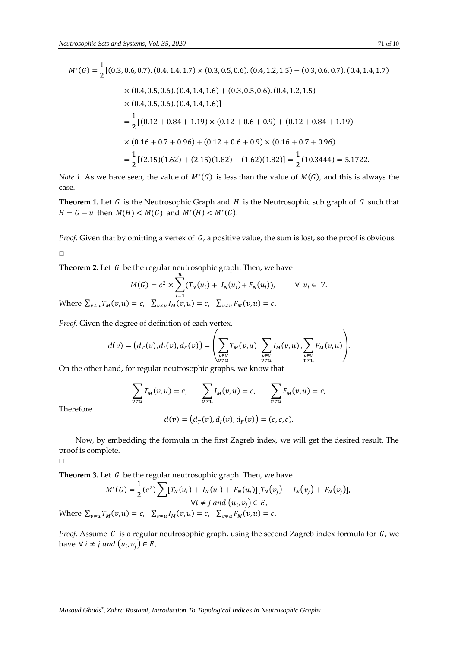$$
M^*(G) = \frac{1}{2} [(0.3, 0.6, 0.7) \cdot (0.4, 1.4, 1.7) \times (0.3, 0.5, 0.6) \cdot (0.4, 1.2, 1.5) + (0.3, 0.6, 0.7) \cdot (0.4, 1.4, 1.7)
$$
  
\n
$$
\times (0.4, 0.5, 0.6) \cdot (0.4, 1.4, 1.6) + (0.3, 0.5, 0.6) \cdot (0.4, 1.2, 1.5)
$$
  
\n
$$
\times (0.4, 0.5, 0.6) \cdot (0.4, 1.4, 1.6)]
$$
  
\n
$$
= \frac{1}{2} [(0.12 + 0.84 + 1.19) \times (0.12 + 0.6 + 0.9) + (0.12 + 0.84 + 1.19)
$$
  
\n
$$
\times (0.16 + 0.7 + 0.96) + (0.12 + 0.6 + 0.9) \times (0.16 + 0.7 + 0.96)
$$
  
\n
$$
= \frac{1}{2} [(2.15)(1.62) + (2.15)(1.82) + (1.62)(1.82)] = \frac{1}{2} (10.3444) = 5.1722.
$$

*Note 1.* As we have seen, the value of  $M^*(G)$  is less than the value of  $M(G)$ , and this is always the case.

**Theorem 1.** Let  $G$  is the Neutrosophic Graph and  $H$  is the Neutrosophic sub graph of  $G$  such that  $H = G - u$  then  $M(H) < M(G)$  and  $M^*(H) < M^*(G)$ .

*Proof.* Given that by omitting a vertex of G, a positive value, the sum is lost, so the proof is obvious.  $\Box$ 

**Theorem 2.** Let  $G$  be the regular neutrosophic graph. Then, we have

$$
M(G) = c^2 \times \sum_{i=1}^{n} (T_N(u_i) + I_N(u_i) + F_N(u_i)), \qquad \forall u_i \in V.
$$
  
Where  $\sum_{v \neq u} T_M(v, u) = c$ ,  $\sum_{v \neq u} I_M(v, u) = c$ ,  $\sum_{v \neq u} F_M(v, u) = c$ .

*Proof.* Given the degree of definition of each vertex,

$$
d(v) = (d_T(v), d_I(v), d_F(v)) = \left(\sum_{\substack{v \in V \\ v \neq u}} T_M(v, u), \sum_{\substack{v \in V \\ v \neq u}} I_M(v, u), \sum_{\substack{v \in V \\ v \neq u}} F_M(v, u)\right).
$$

On the other hand, for regular neutrosophic graphs, we know that

$$
\sum_{v \neq u} T_M(v, u) = c, \qquad \sum_{v \neq u} I_M(v, u) = c, \qquad \sum_{v \neq u} F_M(v, u) = c,
$$

Therefore

$$
d(v) = (d_T(v), d_I(v), d_F(v)) = (c, c, c).
$$

Now, by embedding the formula in the first Zagreb index, we will get the desired result. The proof is complete.

 $\Box$ 

**Theorem 3.** Let  $G$  be the regular neutrosophic graph. Then, we have

$$
M^*(G) = \frac{1}{2}(c^2) \sum [\Gamma_N(u_i) + I_N(u_i) + F_N(u_i)][T_N(v_j) + I_N(v_j) + F_N(v_j)],
$$
  
\n
$$
\forall i \neq j \text{ and } (u_i, v_j) \in E,
$$
  
\nWhere  $\sum_{v \neq u} T_M(v, u) = c$ ,  $\sum_{v \neq u} I_M(v, u) = c$ ,  $\sum_{v \neq u} F_M(v, u) = c$ .

*Proof.* Assume  $G$  is a regular neutrosophic graph, using the second Zagreb index formula for  $G$ , we have  $\forall i \neq j$  and  $(u_i, v_j) \in E$ ,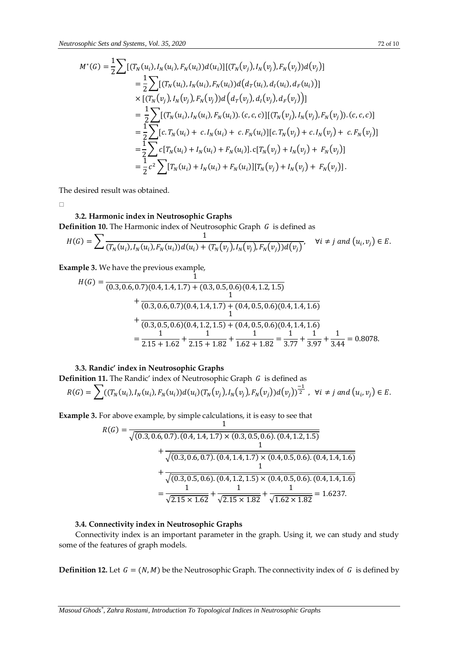$$
M^*(G) = \frac{1}{2} \sum \left[ (T_N(u_i), I_N(u_i), F_N(u_i)) d(u_i) \right] [(T_N(v_j), I_N(v_j), F_N(v_j)) d(v_j)]
$$
  
\n
$$
= \frac{1}{2} \sum \left[ (T_N(u_i), I_N(u_i), F_N(u_i)) d(d_T(u_i), d_I(u_i), d_F(u_i)) \right]
$$
  
\n
$$
\times \left[ (T_N(v_j), I_N(v_j), F_N(v_j)) d(d_T(v_j), d_I(v_j), d_F(v_j)) \right]
$$
  
\n
$$
= \frac{1}{2} \sum \left[ (T_N(u_i), I_N(u_i), F_N(u_i)) \cdot (c, c, c) \right] [(T_N(v_j), I_N(v_j), F_N(v_j)) \cdot (c, c, c)]
$$
  
\n
$$
= \frac{1}{2} \sum \left[ c \cdot T_N(u_i) + c \cdot I_N(u_i) + c \cdot F_N(u_i) \right] [c \cdot T_N(v_j) + c \cdot I_N(v_j) + c \cdot F_N(v_j)]
$$
  
\n
$$
= \frac{1}{2} \sum \left[ c \left[ T_N(u_i) + I_N(u_i) + F_N(u_i) \right] \cdot c \left[ T_N(v_j) + I_N(v_j) + F_N(v_j) \right] \right]
$$
  
\n
$$
= \frac{1}{2} c^2 \sum \left[ T_N(u_i) + I_N(u_i) + F_N(u_i) \right] [T_N(v_j) + I_N(v_j) + F_N(v_j)]
$$

The desired result was obtained.

 $\Box$ 

# **3.2. Harmonic index in Neutrosophic Graphs**

**Definition 10.** The Harmonic index of Neutrosophic Graph *G* is defined as

$$
H(G) = \sum \frac{1}{(T_N(u_i), I_N(u_i), F_N(u_i))d(u_i) + (T_N(v_j), I_N(v_j), F_N(v_j))d(v_j)}, \quad \forall i \neq j \text{ and } (u_i, v_j) \in E.
$$

**Example 3.** We have the previous example,

$$
H(G) = \frac{1}{(0.3, 0.6, 0.7)(0.4, 1.4, 1.7) + (0.3, 0.5, 0.6)(0.4, 1.2, 1.5)} + \frac{1}{(0.3, 0.6, 0.7)(0.4, 1.4, 1.7) + (0.4, 0.5, 0.6)(0.4, 1.4, 1.6)} + \frac{1}{(0.3, 0.5, 0.6)(0.4, 1.2, 1.5) + (0.4, 0.5, 0.6)(0.4, 1.4, 1.6)} + \frac{1}{2.15 + 1.62} + \frac{1}{2.15 + 1.82} + \frac{1}{1.62 + 1.82} = \frac{1}{3.77} + \frac{1}{3.97} + \frac{1}{3.44} = 0.8078.
$$

## **3.3. Randic' index in Neutrosophic Graphs**

**Definition 11.** The Randic' index of Neutrosophic Graph *G* is defined as

$$
R(G) = \sum ((T_N(u_i), I_N(u_i), F_N(u_i))d(u_i)(T_N(v_j), I_N(v_j), F_N(v_j))d(v_j))^{1/2}, \ \forall i \neq j \ and \ (u_i, v_j) \in E.
$$

1

**Example 3.** For above example, by simple calculations, it is easy to see that

$$
R(G) = \frac{1}{\sqrt{(0.3, 0.6, 0.7), (0.4, 1.4, 1.7) \times (0.3, 0.5, 0.6), (0.4, 1.2, 1.5) + \frac{1}{\sqrt{(0.3, 0.6, 0.7), (0.4, 1.4, 1.7) \times (0.4, 0.5, 0.6), (0.4, 1.4, 1.6) + \frac{1}{\sqrt{(0.3, 0.5, 0.6), (0.4, 1.2, 1.5) \times (0.4, 0.5, 0.6), (0.4, 1.4, 1.6) + \frac{1}{\sqrt{2.15 \times 1.62} + \frac{1}{\sqrt{2.15 \times 1.82} + \frac{1}{\sqrt{1.62 \times 1.82}}} = 1.6237.
$$

## **3.4. Connectivity index in Neutrosophic Graphs**

Connectivity index is an important parameter in the graph. Using it, we can study and study some of the features of graph models.

**Definition 12.** Let  $G = (N, M)$  be the Neutrosophic Graph. The connectivity index of  $G$  is defined by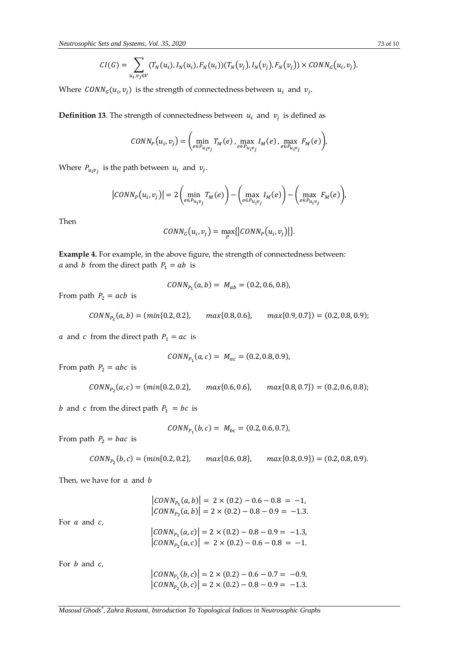$$
CI(G) = \sum_{u_i, v_j \in V} (T_N(u_i), I_N(u_i), F_N(u_i)) (T_N(v_j), I_N(v_j), F_N(v_j)) \times CONN_G(u_i, v_j).
$$

Where  $\mathit{CONN}_G(u_i, v_j)$  is the strength of connectedness between  $u_i$  and  $v_j$ .

**Definition 13**. The strength of connectedness between  $u_i$  and  $v_j$  is defined as

$$
CONN_P(u_i, v_j) = \left(\min_{e \in P_{u_iv_j}} T_M(e), \max_{e \in P_{u_iv_j}} I_M(e), \max_{e \in P_{u_iv_j}} F_M(e)\right),
$$

Where  $P_{u_i v_j}$  is the path between  $u_i$  and  $v_j$ .

$$
|CONN_P(u_i, v_j)| = 2 \left( \min_{e \in P_{u_i v_j}} T_M(e) \right) - \left( \max_{e \in P_{u_i v_j}} I_M(e) \right) - \left( \max_{e \in P_{u_i v_j}} F_M(e) \right),
$$

Then

$$
CONN_G(u_i, v_j) = \max_P\{|CONN_P(u_i, v_j)|\}.
$$

**Example 4.** For example, in the above figure, the strength of connectedness between: *a* and *b* from the direct path  $P_1 = ab$  is

 $CONN_{P_1}(a, b) = M_{ab} = (0.2, 0.6, 0.8),$ 

From path  $P_2 = acb$  is

$$
CONN_{P_2}(a, b) = (min\{0.2, 0.2\}, \quad max\{0.8, 0.6\}, \quad max\{0.9, 0.7\}) = (0.2, 0.8, 0.9);
$$

*a* and *c* from the direct path  $P_1 = ac$  is

$$
CONN_{P_1}(a, c) = M_{ac} = (0.2, 0.8, 0.9),
$$

From path  $P_2 = abc$  is

$$
CONN_{P_2}(a, c) = (min\{0.2, 0.2\}, \quad max\{0.6, 0.6\}, \quad max\{0.8, 0.7\}) = (0.2, 0.6, 0.8);
$$

b and c from the direct path  $P_1 = bc$  is

$$
CONN_{P_1}(b, c) = M_{bc} = (0.2, 0.6, 0.7),
$$

From path  $P_2 = bac$  is

 $CONN_{P_2}(b, c) = (min\{0.2, 0.2\})$  $max{0.6, 0.8}, \quad max{0.8, 0.9}) = (0.2, 0.8, 0.9).$ 

Then, we have for  $a$  and  $b$ 

|                   | $ CONN_{P_1}(a, b)  = 2 \times (0.2) - 0.6 - 0.8 = -1,$<br>$ CONN_{P_2}(a, b)  = 2 \times (0.2) - 0.8 - 0.9 = -1.3.$ |
|-------------------|----------------------------------------------------------------------------------------------------------------------|
| For $a$ and $c$ , |                                                                                                                      |
|                   | $ CONN_{P_1}(a, c)  = 2 \times (0.2) - 0.8 - 0.9 = -1.3,$                                                            |
|                   | $ CONN_{P_2}(a, c)  = 2 \times (0.2) - 0.6 - 0.8 = -1.$                                                              |
|                   |                                                                                                                      |
| For $b$ and $c$ , |                                                                                                                      |
|                   | $ CONN_{P_1}(b, c)  = 2 \times (0.2) - 0.6 - 0.7 = -0.9,$                                                            |
|                   | $ CONN_{P_2}(b, c)  = 2 \times (0.2) - 0.8 - 0.9 = -1.3.$                                                            |
|                   |                                                                                                                      |

*Masoud Ghods\* , Zahra Rostami, Introduction To Topological Indices in Neutrosophic Graphs*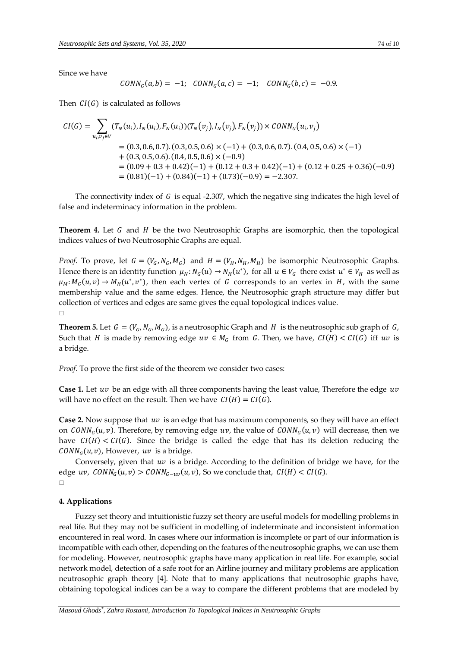Since we have

$$
CONN_G(a,b) = -1; CONN_G(a,c) = -1; CONN_G(b,c) = -0.9.
$$

Then  $CI(G)$  is calculated as follows

$$
CI(G) = \sum_{u_i v_j \in V} (T_N(u_i), I_N(u_i), F_N(u_i)) (T_N(v_j), I_N(v_j), F_N(v_j)) \times CONN_G(u_i, v_j)
$$
  
= (0.3, 0.6, 0.7). (0.3, 0.5, 0.6)  $\times$  (-1) + (0.3, 0.6, 0.7). (0.4, 0.5, 0.6)  $\times$  (-1)  
+ (0.3, 0.5, 0.6). (0.4, 0.5, 0.6)  $\times$  (-0.9)  
= (0.09 + 0.3 + 0.42)(-1) + (0.12 + 0.3 + 0.42)(-1) + (0.12 + 0.25 + 0.36)(-0.9)  
= (0.81)(-1) + (0.84)(-1) + (0.73)(-0.9) = -2.307.

The connectivity index of  $G$  is equal -2.307, which the negative sing indicates the high level of false and indeterminacy information in the problem.

**Theorem 4.** Let  $G$  and  $H$  be the two Neutrosophic Graphs are isomorphic, then the topological indices values of two Neutrosophic Graphs are equal.

*Proof.* To prove, let  $G = (V_G, N_G, M_G)$  and  $H = (V_H, N_H, M_H)$  be isomorphic Neutrosophic Graphs. Hence there is an identity function  $\mu_N: N_G(u) \to N_H(u^*)$ , for all  $u \in V_G$  there exist  $u^* \in V_H$  as well as  $\mu_M$ :  $M_G(u, v) \to M_H(u^*, v^*)$ , then each vertex of G corresponds to an vertex in H, with the same membership value and the same edges. Hence, the Neutrosophic graph structure may differ but collection of vertices and edges are same gives the equal topological indices value.  $\Box$ 

**Theorem 5.** Let  $G = (V_G, N_G, M_G)$ , is a neutrosophic Graph and *H* is the neutrosophic sub graph of *G*, Such that H is made by removing edge  $uv \in M_G$  from G. Then, we have,  $Cl(H) < Cl(G)$  iff  $uv$  is a bridge.

*Proof.* To prove the first side of the theorem we consider two cases:

**Case 1.** Let uv be an edge with all three components having the least value, Therefore the edge uv will have no effect on the result. Then we have  $CI(H) = CI(G)$ .

**Case 2.** Now suppose that uv is an edge that has maximum components, so they will have an effect on  $\textit{CONN}_G(u, v)$ . Therefore, by removing edge uv, the value of  $\textit{CONN}_G(u, v)$  will decrease, then we have  $CI(H) < CI(G)$ . Since the bridge is called the edge that has its deletion reducing the  $\textit{CONN}_c(u, v)$ , However, uv is a bridge.

Conversely, given that  $uv$  is a bridge. According to the definition of bridge we have, for the edge uv,  $\text{CONN}_G(u, v) > \text{CONN}_{G-uv}(u, v)$ , So we conclude that,  $\text{CI}(H) < \text{CI}(G)$ .  $\Box$ 

#### **4. Applications**

Fuzzy set theory and intuitionistic fuzzy set theory are useful models for modelling problems in real life. But they may not be sufficient in modelling of indeterminate and inconsistent information encountered in real word. In cases where our information is incomplete or part of our information is incompatible with each other, depending on the features of the neutrosophic graphs, we can use them for modeling. However, neutrosophic graphs have many application in real life. For example, social network model, detection of a safe root for an Airline journey and military problems are application neutrosophic graph theory [4]. Note that to many applications that neutrosophic graphs have, obtaining topological indices can be a way to compare the different problems that are modeled by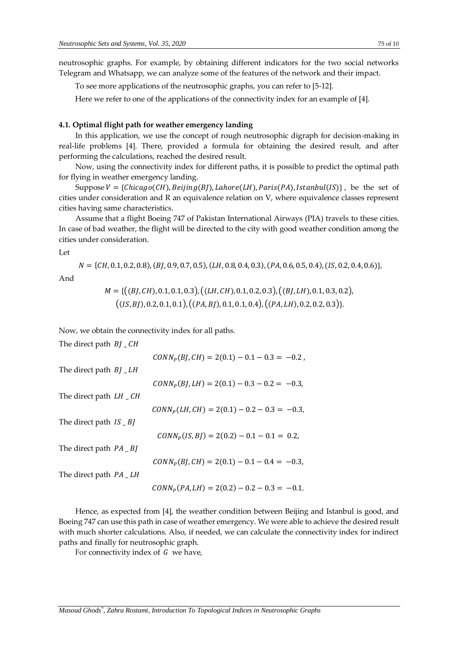neutrosophic graphs. For example, by obtaining different indicators for the two social networks Telegram and Whatsapp, we can analyze some of the features of the network and their impact.

To see more applications of the neutrosophic graphs, you can refer to [5-12].

Here we refer to one of the applications of the connectivity index for an example of [4].

#### **4.1. Optimal flight path for weather emergency landing**

In this application, we use the concept of rough neutrosophic digraph for decision-making in real-life problems [4]. There, provided a formula for obtaining the desired result, and after performing the calculations, reached the desired result.

Now, using the connectivity index for different paths, it is possible to predict the optimal path for flying in weather emergency landing.

Suppose  $V = \{Chicago(CH), Beijing(BJ), Lahore(LH), Paris(PA), Istanbul(IS)\}\$ , be the set of cities under consideration and R an equivalence relation on V, where equivalence classes represent cities having same characteristics.

Assume that a flight Boeing 747 of Pakistan International Airways (PIA) travels to these cities. In case of bad weather, the flight will be directed to the city with good weather condition among the cities under consideration.

Let

$$
N = \{CH, 0.1, 0.2, 0.8), (BJ, 0.9, 0.7, 0.5), (LH, 0.8, 0.4, 0.3), (PA, 0.6, 0.5, 0.4), (IS, 0.2, 0.4, 0.6)\},
$$

And

$$
M = \{((BI, CH), 0.1, 0.1, 0.3), ((LH, CH), 0.1, 0.2, 0.3), ((BJ, LH), 0.1, 0.3, 0.2), ((IS, BJ), 0.2, 0.1, 0.1), ((PA, BJ), 0.1, 0.1, 0.4), ((PA, LH), 0.2, 0.2, 0.3)\}.
$$

Now, we obtain the connectivity index for all paths.

The direct path  $BI$   $CH$ 

|                                       | $CONNP(B, CH) = 2(0.1) - 0.1 - 0.3 = -0.2$ , |
|---------------------------------------|----------------------------------------------|
| The direct path $BJ$ $_H$             |                                              |
|                                       | $CONNP(B, LH) = 2(0.1) - 0.3 - 0.2 = -0.3$   |
| The direct path $LH$ $\mathcal{L}H$   |                                              |
|                                       | $CONNP(LH, CH) = 2(0.1) - 0.2 - 0.3 = -0.3$  |
| The direct path $IS$ $B$              |                                              |
|                                       | $CONNP(IS, B]) = 2(0.2) - 0.1 - 0.1 = 0.2$   |
| The direct path $PA$ $B$ <i>J</i>     |                                              |
|                                       | $CONNP(B, CH) = 2(0.1) - 0.1 - 0.4 = -0.3$   |
| The direct path <i>PA</i> _ <i>LH</i> |                                              |
|                                       |                                              |

Hence, as expected from [4], the weather condition between Beijing and Istanbul is good, and Boeing 747 can use this path in case of weather emergency. We were able to achieve the desired result with much shorter calculations. Also, if needed, we can calculate the connectivity index for indirect paths and finally for neutrosophic graph.

 $CONN<sub>P</sub>(PA, LH) = 2(0.2) - 0.2 - 0.3 = -0.1.$ 

For connectivity index of  $G$  we have,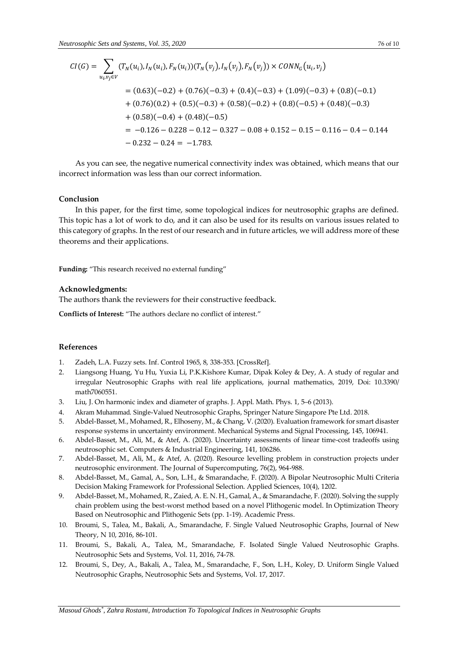$$
CI(G) = \sum_{u_i, v_j \in V} (T_N(u_i), I_N(u_i), F_N(u_i)) (T_N(v_j), I_N(v_j), F_N(v_j)) \times CONN_G(u_i, v_j)
$$
  
= (0.63)(-0.2) + (0.76)(-0.3) + (0.4)(-0.3) + (1.09)(-0.3) + (0.8)(-0.1)  
+ (0.76)(0.2) + (0.5)(-0.3) + (0.58)(-0.2) + (0.8)(-0.5) + (0.48)(-0.3)  
+ (0.58)(-0.4) + (0.48)(-0.5)  
= -0.126 - 0.228 - 0.12 - 0.327 - 0.08 + 0.152 - 0.15 - 0.116 - 0.4 - 0.144  
- 0.232 - 0.24 = -1.783.

As you can see, the negative numerical connectivity index was obtained, which means that our incorrect information was less than our correct information.

## **Conclusion**

In this paper, for the first time, some topological indices for neutrosophic graphs are defined. This topic has a lot of work to do, and it can also be used for its results on various issues related to this category of graphs. In the rest of our research and in future articles, we will address more of these theorems and their applications.

**Funding:** "This research received no external funding"

## **Acknowledgments:**

The authors thank the reviewers for their constructive feedback.

**Conflicts of Interest:** "The authors declare no conflict of interest."

#### **References**

- 1. Zadeh, L.A. Fuzzy sets. Inf. Control 1965, 8, 338-353. [CrossRef].
- 2. Liangsong Huang, Yu Hu, Yuxia Li, P.K.Kishore Kumar, Dipak Koley & Dey, A. A study of regular and irregular Neutrosophic Graphs with real life applications, journal mathematics, 2019, Doi: 10.3390/ math7060551.
- 3. Liu, J. On harmonic index and diameter of graphs. J. Appl. Math. Phys. 1, 5–6 (2013).
- 4. Akram Muhammad. Single-Valued Neutrosophic Graphs, Springer Nature Singapore Pte Ltd. 2018.
- 5. Abdel-Basset, M., Mohamed, R., Elhoseny, M., & Chang, V. (2020). Evaluation framework for smart disaster response systems in uncertainty environment. Mechanical Systems and Signal Processing, 145, 106941.
- 6. Abdel-Basset, M., Ali, M., & Atef, A. (2020). Uncertainty assessments of linear time-cost tradeoffs using neutrosophic set. Computers & Industrial Engineering, 141, 106286.
- 7. Abdel-Basset, M., Ali, M., & Atef, A. (2020). Resource levelling problem in construction projects under neutrosophic environment. The Journal of Supercomputing, 76(2), 964-988.
- 8. Abdel-Basset, M., Gamal, A., Son, L.H., & Smarandache, F. (2020). A Bipolar Neutrosophic Multi Criteria Decision Making Framework for Professional Selection. Applied Sciences, 10(4), 1202.
- 9. Abdel-Basset, M., Mohamed, R., Zaied, A. E. N. H., Gamal, A., & Smarandache, F. (2020). Solving the supply chain problem using the best-worst method based on a novel Plithogenic model. In Optimization Theory Based on Neutrosophic and Plithogenic Sets (pp. 1-19). Academic Press.
- 10. Broumi, S., [Talea,](http://ieeexplore.ieee.org/search/searchresult.jsp?searchWithin=%22Authors%22:.QT.Broumi%2C%20S..QT.&newsearch=true) M., Bakali, A., [Smarandache,](http://ieeexplore.ieee.org/search/searchresult.jsp?searchWithin=%22Authors%22:.QT.Smarandache%2C%20F..QT.&newsearch=true) F. Single Valued Neutrosophic Graphs, Journal of New Theory, N 10, 2016, 86-101.
- 11. Broumi, S., Bakali, A., [Talea,](http://ieeexplore.ieee.org/search/searchresult.jsp?searchWithin=%22Authors%22:.QT.Broumi%2C%20S..QT.&newsearch=true) M., [Smarandache,](http://ieeexplore.ieee.org/search/searchresult.jsp?searchWithin=%22Authors%22:.QT.Smarandache%2C%20F..QT.&newsearch=true) F. Isolated Single Valued Neutrosophic Graphs. Neutrosophic Sets and Systems, Vol. 11, 2016, 74-78.
- 12. Broumi, S., Dey, A., Bakali, A., [Talea,](http://ieeexplore.ieee.org/search/searchresult.jsp?searchWithin=%22Authors%22:.QT.Broumi%2C%20S..QT.&newsearch=true) M., [Smarandache,](http://ieeexplore.ieee.org/search/searchresult.jsp?searchWithin=%22Authors%22:.QT.Smarandache%2C%20F..QT.&newsearch=true) F., Son, L.H., Koley, D. Uniform Single Valued Neutrosophic Graphs, Neutrosophic Sets and Systems, Vol. 17, 2017.